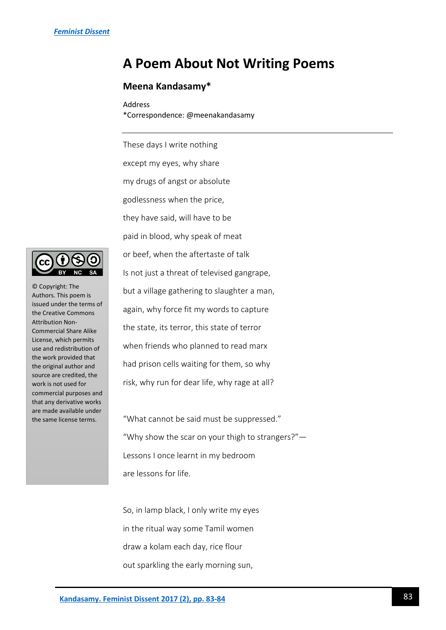## **A Poem About Not Writing Poems**

## **Meena Kandasamy\***

Address \*Correspondence: @meenakandasamy

These days I write nothing except my eyes, why share my drugs of angst or absolute godlessness when the price, they have said, will have to be paid in blood, why speak of meat or beef, when the aftertaste of talk Is not just a threat of televised gangrape, but a village gathering to slaughter a man, again, why force fit my words to capture the state, its terror, this state of terror when friends who planned to read marx had prison cells waiting for them, so why risk, why run for dear life, why rage at all?

"What cannot be said must be suppressed." "Why show the scar on your thigh to strangers?"— Lessons I once learnt in my bedroom are lessons for life.

So, in lamp black, I only write my eyes in the ritual way some Tamil women draw a kolam each day, rice flour out sparkling the early morning sun,



© Copyright: The Authors. This poem is issued under the terms of the Creative Commons Attribution Non-Commercial Share Alike License, which permits use and redistribution of the work provided that the original author and source are credited, the work is not used for commercial purposes and that any derivative works are made available under the same license terms.